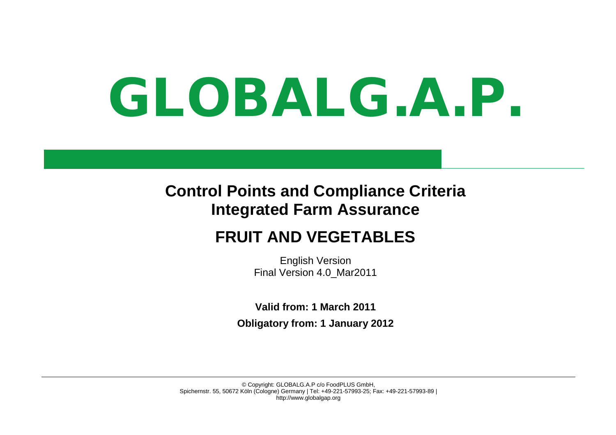# GLOBALG.A.P.

### **Control Points and Compliance Criteria Integrated Farm Assurance**

## **FRUIT AND VEGETABLES**

English Version Final Version 4.0\_Mar2011

**Valid from: 1 March 2011 Obligatory from: 1 January 2012**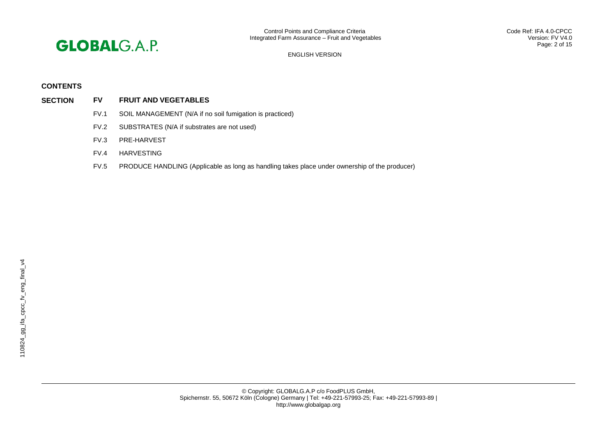

#### **CONTENTS**

- **SECTION FV FRUIT AND VEGETABLES**
	- FV.1 SOIL MANAGEMENT (N/A if no soil fumigation is practiced)
	- FV.2 SUBSTRATES (N/A if substrates are not used)
	- FV.3 PRE-HARVEST
	- FV.4 HARVESTING
	- FV.5 PRODUCE HANDLING (Applicable as long as handling takes place under ownership of the producer)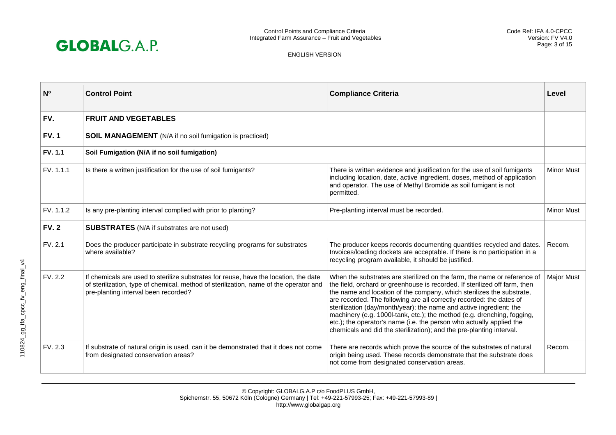

| N <sub>0</sub> | <b>Control Point</b>                                                                                                                                                                                                  | <b>Compliance Criteria</b>                                                                                                                                                                                                                                                                                                                                                                                                                                                                                                                                                                                | Level             |
|----------------|-----------------------------------------------------------------------------------------------------------------------------------------------------------------------------------------------------------------------|-----------------------------------------------------------------------------------------------------------------------------------------------------------------------------------------------------------------------------------------------------------------------------------------------------------------------------------------------------------------------------------------------------------------------------------------------------------------------------------------------------------------------------------------------------------------------------------------------------------|-------------------|
| FV.            | <b>FRUIT AND VEGETABLES</b>                                                                                                                                                                                           |                                                                                                                                                                                                                                                                                                                                                                                                                                                                                                                                                                                                           |                   |
| <b>FV.1</b>    | <b>SOIL MANAGEMENT</b> (N/A if no soil fumigation is practiced)                                                                                                                                                       |                                                                                                                                                                                                                                                                                                                                                                                                                                                                                                                                                                                                           |                   |
| <b>FV. 1.1</b> | Soil Fumigation (N/A if no soil fumigation)                                                                                                                                                                           |                                                                                                                                                                                                                                                                                                                                                                                                                                                                                                                                                                                                           |                   |
| FV. 1.1.1      | Is there a written justification for the use of soil fumigants?                                                                                                                                                       | There is written evidence and justification for the use of soil fumigants<br>including location, date, active ingredient, doses, method of application<br>and operator. The use of Methyl Bromide as soil fumigant is not<br>permitted.                                                                                                                                                                                                                                                                                                                                                                   | <b>Minor Must</b> |
| FV. 1.1.2      | Is any pre-planting interval complied with prior to planting?                                                                                                                                                         | Pre-planting interval must be recorded.                                                                                                                                                                                                                                                                                                                                                                                                                                                                                                                                                                   | <b>Minor Must</b> |
| <b>FV.2</b>    | <b>SUBSTRATES</b> (N/A if substrates are not used)                                                                                                                                                                    |                                                                                                                                                                                                                                                                                                                                                                                                                                                                                                                                                                                                           |                   |
| FV. 2.1        | Does the producer participate in substrate recycling programs for substrates<br>where available?                                                                                                                      | The producer keeps records documenting quantities recycled and dates.<br>Invoices/loading dockets are acceptable. If there is no participation in a<br>recycling program available, it should be justified.                                                                                                                                                                                                                                                                                                                                                                                               | Recom.            |
| FV. 2.2        | If chemicals are used to sterilize substrates for reuse, have the location, the date<br>of sterilization, type of chemical, method of sterilization, name of the operator and<br>pre-planting interval been recorded? | When the substrates are sterilized on the farm, the name or reference of<br>the field, orchard or greenhouse is recorded. If sterilized off farm, then<br>the name and location of the company, which sterilizes the substrate,<br>are recorded. The following are all correctly recorded: the dates of<br>sterilization (day/month/year); the name and active ingredient; the<br>machinery (e.g. 1000l-tank, etc.); the method (e.g. drenching, fogging,<br>etc.); the operator's name (i.e. the person who actually applied the<br>chemicals and did the sterilization); and the pre-planting interval. | <b>Major Must</b> |
| FV. 2.3        | If substrate of natural origin is used, can it be demonstrated that it does not come<br>from designated conservation areas?                                                                                           | There are records which prove the source of the substrates of natural<br>origin being used. These records demonstrate that the substrate does<br>not come from designated conservation areas.                                                                                                                                                                                                                                                                                                                                                                                                             | Recom.            |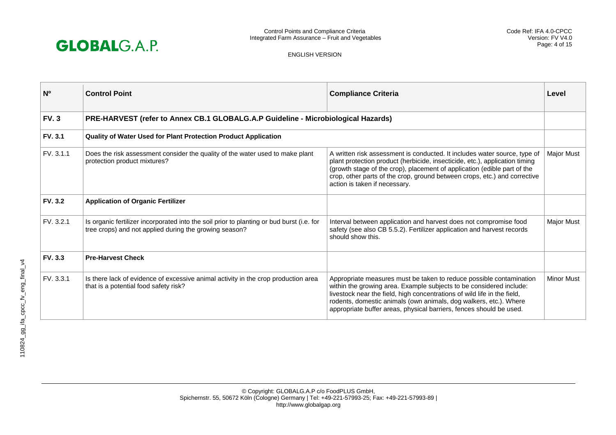

| N <sup>o</sup> | <b>Control Point</b>                                                                                                                                | <b>Compliance Criteria</b>                                                                                                                                                                                                                                                                                                                                         | Level             |
|----------------|-----------------------------------------------------------------------------------------------------------------------------------------------------|--------------------------------------------------------------------------------------------------------------------------------------------------------------------------------------------------------------------------------------------------------------------------------------------------------------------------------------------------------------------|-------------------|
| <b>FV.3</b>    | PRE-HARVEST (refer to Annex CB.1 GLOBALG.A.P Guideline - Microbiological Hazards)                                                                   |                                                                                                                                                                                                                                                                                                                                                                    |                   |
| <b>FV. 3.1</b> | Quality of Water Used for Plant Protection Product Application                                                                                      |                                                                                                                                                                                                                                                                                                                                                                    |                   |
| FV. 3.1.1      | Does the risk assessment consider the quality of the water used to make plant<br>protection product mixtures?                                       | A written risk assessment is conducted. It includes water source, type of<br>plant protection product (herbicide, insecticide, etc.), application timing<br>(growth stage of the crop), placement of application (edible part of the<br>crop, other parts of the crop, ground between crops, etc.) and corrective<br>action is taken if necessary.                 | Major Must        |
| <b>FV. 3.2</b> | <b>Application of Organic Fertilizer</b>                                                                                                            |                                                                                                                                                                                                                                                                                                                                                                    |                   |
| FV. 3.2.1      | Is organic fertilizer incorporated into the soil prior to planting or bud burst (i.e. for<br>tree crops) and not applied during the growing season? | Interval between application and harvest does not compromise food<br>safety (see also CB 5.5.2). Fertilizer application and harvest records<br>should show this.                                                                                                                                                                                                   | Major Must        |
| <b>FV. 3.3</b> | <b>Pre-Harvest Check</b>                                                                                                                            |                                                                                                                                                                                                                                                                                                                                                                    |                   |
| FV. 3.3.1      | Is there lack of evidence of excessive animal activity in the crop production area<br>that is a potential food safety risk?                         | Appropriate measures must be taken to reduce possible contamination<br>within the growing area. Example subjects to be considered include:<br>livestock near the field, high concentrations of wild life in the field,<br>rodents, domestic animals (own animals, dog walkers, etc.). Where<br>appropriate buffer areas, physical barriers, fences should be used. | <b>Minor Must</b> |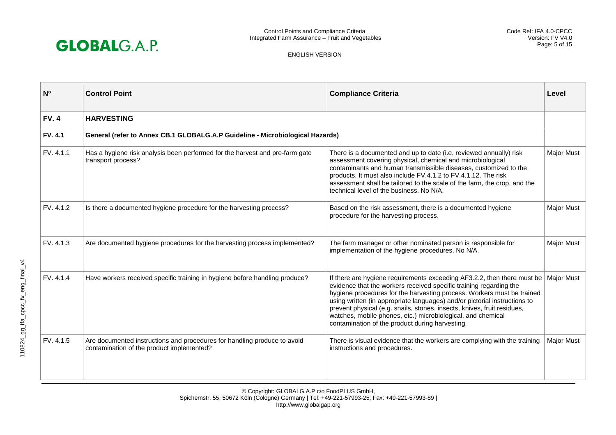

| N <sup>o</sup> | <b>Control Point</b>                                                                                                  | <b>Compliance Criteria</b>                                                                                                                                                                                                                                                                                                                                                                                                                                                                        | Level             |
|----------------|-----------------------------------------------------------------------------------------------------------------------|---------------------------------------------------------------------------------------------------------------------------------------------------------------------------------------------------------------------------------------------------------------------------------------------------------------------------------------------------------------------------------------------------------------------------------------------------------------------------------------------------|-------------------|
| <b>FV.4</b>    | <b>HARVESTING</b>                                                                                                     |                                                                                                                                                                                                                                                                                                                                                                                                                                                                                                   |                   |
| <b>FV. 4.1</b> | General (refer to Annex CB.1 GLOBALG.A.P Guideline - Microbiological Hazards)                                         |                                                                                                                                                                                                                                                                                                                                                                                                                                                                                                   |                   |
| FV. 4.1.1      | Has a hygiene risk analysis been performed for the harvest and pre-farm gate<br>transport process?                    | There is a documented and up to date (i.e. reviewed annually) risk<br>assessment covering physical, chemical and microbiological<br>contaminants and human transmissible diseases, customized to the<br>products. It must also include FV.4.1.2 to FV.4.1.12. The risk<br>assessment shall be tailored to the scale of the farm, the crop, and the<br>technical level of the business. No N/A.                                                                                                    | <b>Major Must</b> |
| FV. 4.1.2      | Is there a documented hygiene procedure for the harvesting process?                                                   | Based on the risk assessment, there is a documented hygiene<br>procedure for the harvesting process.                                                                                                                                                                                                                                                                                                                                                                                              | Major Must        |
| FV. 4.1.3      | Are documented hygiene procedures for the harvesting process implemented?                                             | The farm manager or other nominated person is responsible for<br>implementation of the hygiene procedures. No N/A.                                                                                                                                                                                                                                                                                                                                                                                | Major Must        |
| FV. 4.1.4      | Have workers received specific training in hygiene before handling produce?                                           | If there are hygiene requirements exceeding AF3.2.2, then there must be<br>evidence that the workers received specific training regarding the<br>hygiene procedures for the harvesting process. Workers must be trained<br>using written (in appropriate languages) and/or pictorial instructions to<br>prevent physical (e.g. snails, stones, insects, knives, fruit residues,<br>watches, mobile phones, etc.) microbiological, and chemical<br>contamination of the product during harvesting. | <b>Major Must</b> |
| FV. 4.1.5      | Are documented instructions and procedures for handling produce to avoid<br>contamination of the product implemented? | There is visual evidence that the workers are complying with the training<br>instructions and procedures.                                                                                                                                                                                                                                                                                                                                                                                         | <b>Major Must</b> |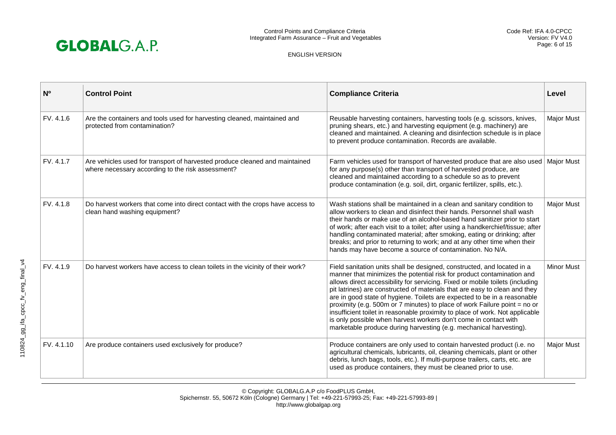

| N <sub>0</sub> | <b>Control Point</b>                                                                                                             | <b>Compliance Criteria</b>                                                                                                                                                                                                                                                                                                                                                                                                                                                                                                                                                                                                                                                                          | Level             |
|----------------|----------------------------------------------------------------------------------------------------------------------------------|-----------------------------------------------------------------------------------------------------------------------------------------------------------------------------------------------------------------------------------------------------------------------------------------------------------------------------------------------------------------------------------------------------------------------------------------------------------------------------------------------------------------------------------------------------------------------------------------------------------------------------------------------------------------------------------------------------|-------------------|
| FV. 4.1.6      | Are the containers and tools used for harvesting cleaned, maintained and<br>protected from contamination?                        | Reusable harvesting containers, harvesting tools (e.g. scissors, knives,<br>pruning shears, etc.) and harvesting equipment (e.g. machinery) are<br>cleaned and maintained. A cleaning and disinfection schedule is in place<br>to prevent produce contamination. Records are available.                                                                                                                                                                                                                                                                                                                                                                                                             | <b>Major Must</b> |
| FV. 4.1.7      | Are vehicles used for transport of harvested produce cleaned and maintained<br>where necessary according to the risk assessment? | Farm vehicles used for transport of harvested produce that are also used<br>for any purpose(s) other than transport of harvested produce, are<br>cleaned and maintained according to a schedule so as to prevent<br>produce contamination (e.g. soil, dirt, organic fertilizer, spills, etc.).                                                                                                                                                                                                                                                                                                                                                                                                      | <b>Major Must</b> |
| FV. 4.1.8      | Do harvest workers that come into direct contact with the crops have access to<br>clean hand washing equipment?                  | Wash stations shall be maintained in a clean and sanitary condition to<br>allow workers to clean and disinfect their hands. Personnel shall wash<br>their hands or make use of an alcohol-based hand sanitizer prior to start<br>of work; after each visit to a toilet; after using a handkerchief/tissue; after<br>handling contaminated material; after smoking, eating or drinking; after<br>breaks; and prior to returning to work; and at any other time when their<br>hands may have become a source of contamination. No N/A.                                                                                                                                                                | <b>Major Must</b> |
| FV. 4.1.9      | Do harvest workers have access to clean toilets in the vicinity of their work?                                                   | Field sanitation units shall be designed, constructed, and located in a<br>manner that minimizes the potential risk for product contamination and<br>allows direct accessibility for servicing. Fixed or mobile toilets (including<br>pit latrines) are constructed of materials that are easy to clean and they<br>are in good state of hygiene. Toilets are expected to be in a reasonable<br>proximity (e.g. 500m or 7 minutes) to place of work Failure point = no or<br>insufficient toilet in reasonable proximity to place of work. Not applicable<br>is only possible when harvest workers don't come in contact with<br>marketable produce during harvesting (e.g. mechanical harvesting). | <b>Minor Must</b> |
| FV. 4.1.10     | Are produce containers used exclusively for produce?                                                                             | Produce containers are only used to contain harvested product (i.e. no<br>agricultural chemicals, lubricants, oil, cleaning chemicals, plant or other<br>debris, lunch bags, tools, etc.). If multi-purpose trailers, carts, etc. are<br>used as produce containers, they must be cleaned prior to use.                                                                                                                                                                                                                                                                                                                                                                                             | <b>Major Must</b> |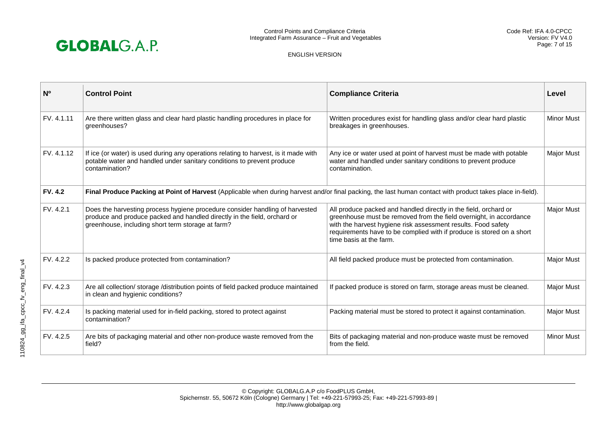

| N <sub>0</sub> | <b>Control Point</b>                                                                                                                                                                                          | <b>Compliance Criteria</b>                                                                                                                                                                                                                                                                                  | Level             |
|----------------|---------------------------------------------------------------------------------------------------------------------------------------------------------------------------------------------------------------|-------------------------------------------------------------------------------------------------------------------------------------------------------------------------------------------------------------------------------------------------------------------------------------------------------------|-------------------|
| FV. 4.1.11     | Are there written glass and clear hard plastic handling procedures in place for<br>greenhouses?                                                                                                               | Written procedures exist for handling glass and/or clear hard plastic<br>breakages in greenhouses.                                                                                                                                                                                                          | <b>Minor Must</b> |
| FV. 4.1.12     | If ice (or water) is used during any operations relating to harvest, is it made with<br>potable water and handled under sanitary conditions to prevent produce<br>contamination?                              | Any ice or water used at point of harvest must be made with potable<br>water and handled under sanitary conditions to prevent produce<br>contamination.                                                                                                                                                     | <b>Major Must</b> |
| <b>FV. 4.2</b> | Final Produce Packing at Point of Harvest (Applicable when during harvest and/or final packing, the last human contact with product takes place in-field).                                                    |                                                                                                                                                                                                                                                                                                             |                   |
| FV. 4.2.1      | Does the harvesting process hygiene procedure consider handling of harvested<br>produce and produce packed and handled directly in the field, orchard or<br>greenhouse, including short term storage at farm? | All produce packed and handled directly in the field, orchard or<br>greenhouse must be removed from the field overnight, in accordance<br>with the harvest hygiene risk assessment results. Food safety<br>requirements have to be complied with if produce is stored on a short<br>time basis at the farm. | Major Must        |
| FV. 4.2.2      | Is packed produce protected from contamination?                                                                                                                                                               | All field packed produce must be protected from contamination.                                                                                                                                                                                                                                              | <b>Major Must</b> |
| FV. 4.2.3      | Are all collection/ storage /distribution points of field packed produce maintained<br>in clean and hygienic conditions?                                                                                      | If packed produce is stored on farm, storage areas must be cleaned.                                                                                                                                                                                                                                         | <b>Major Must</b> |
| FV. 4.2.4      | Is packing material used for in-field packing, stored to protect against<br>contamination?                                                                                                                    | Packing material must be stored to protect it against contamination.                                                                                                                                                                                                                                        | Major Must        |
| FV. 4.2.5      | Are bits of packaging material and other non-produce waste removed from the<br>field?                                                                                                                         | Bits of packaging material and non-produce waste must be removed<br>from the field.                                                                                                                                                                                                                         | <b>Minor Must</b> |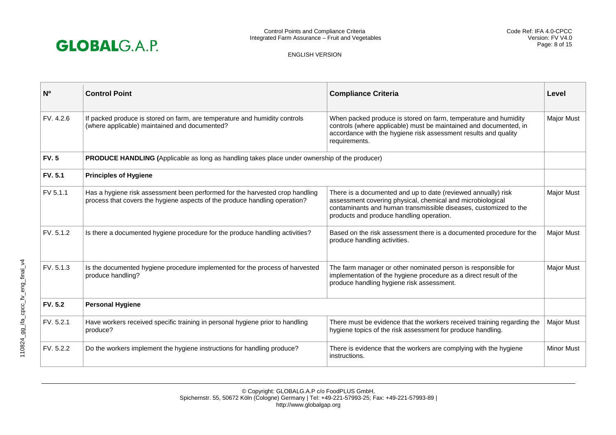

| N <sub>0</sub> | <b>Control Point</b>                                                                                                                                       | <b>Compliance Criteria</b>                                                                                                                                                                                                                  | Level             |
|----------------|------------------------------------------------------------------------------------------------------------------------------------------------------------|---------------------------------------------------------------------------------------------------------------------------------------------------------------------------------------------------------------------------------------------|-------------------|
| FV. 4.2.6      | If packed produce is stored on farm, are temperature and humidity controls<br>(where applicable) maintained and documented?                                | When packed produce is stored on farm, temperature and humidity<br>controls (where applicable) must be maintained and documented, in<br>accordance with the hygiene risk assessment results and quality<br>requirements.                    | <b>Major Must</b> |
| <b>FV.5</b>    | PRODUCE HANDLING (Applicable as long as handling takes place under ownership of the producer)                                                              |                                                                                                                                                                                                                                             |                   |
| <b>FV. 5.1</b> | <b>Principles of Hygiene</b>                                                                                                                               |                                                                                                                                                                                                                                             |                   |
| FV 5.1.1       | Has a hygiene risk assessment been performed for the harvested crop handling<br>process that covers the hygiene aspects of the produce handling operation? | There is a documented and up to date (reviewed annually) risk<br>assessment covering physical, chemical and microbiological<br>contaminants and human transmissible diseases, customized to the<br>products and produce handling operation. | Major Must        |
| FV. 5.1.2      | Is there a documented hygiene procedure for the produce handling activities?                                                                               | Based on the risk assessment there is a documented procedure for the<br>produce handling activities.                                                                                                                                        | Major Must        |
| FV. 5.1.3      | Is the documented hygiene procedure implemented for the process of harvested<br>produce handling?                                                          | The farm manager or other nominated person is responsible for<br>implementation of the hygiene procedure as a direct result of the<br>produce handling hygiene risk assessment.                                                             | Major Must        |
| <b>FV. 5.2</b> | <b>Personal Hygiene</b>                                                                                                                                    |                                                                                                                                                                                                                                             |                   |
| FV. 5.2.1      | Have workers received specific training in personal hygiene prior to handling<br>produce?                                                                  | There must be evidence that the workers received training regarding the<br>hygiene topics of the risk assessment for produce handling.                                                                                                      | Major Must        |
| FV. 5.2.2      | Do the workers implement the hygiene instructions for handling produce?                                                                                    | There is evidence that the workers are complying with the hygiene<br>instructions.                                                                                                                                                          | <b>Minor Must</b> |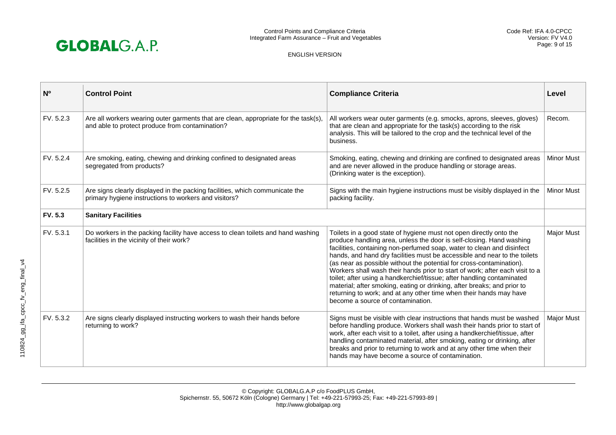

| N <sub>o</sub> | <b>Control Point</b>                                                                                                                   | <b>Compliance Criteria</b>                                                                                                                                                                                                                                                                                                                                                                                                                                                                                                                                                                                                                                                                                                | Level             |
|----------------|----------------------------------------------------------------------------------------------------------------------------------------|---------------------------------------------------------------------------------------------------------------------------------------------------------------------------------------------------------------------------------------------------------------------------------------------------------------------------------------------------------------------------------------------------------------------------------------------------------------------------------------------------------------------------------------------------------------------------------------------------------------------------------------------------------------------------------------------------------------------------|-------------------|
| FV. 5.2.3      | Are all workers wearing outer garments that are clean, appropriate for the task(s),<br>and able to protect produce from contamination? | All workers wear outer garments (e.g. smocks, aprons, sleeves, gloves)<br>that are clean and appropriate for the task(s) according to the risk<br>analysis. This will be tailored to the crop and the technical level of the<br>business.                                                                                                                                                                                                                                                                                                                                                                                                                                                                                 | Recom.            |
| FV. 5.2.4      | Are smoking, eating, chewing and drinking confined to designated areas<br>segregated from products?                                    | Smoking, eating, chewing and drinking are confined to designated areas<br>and are never allowed in the produce handling or storage areas.<br>(Drinking water is the exception).                                                                                                                                                                                                                                                                                                                                                                                                                                                                                                                                           | <b>Minor Must</b> |
| FV. 5.2.5      | Are signs clearly displayed in the packing facilities, which communicate the<br>primary hygiene instructions to workers and visitors?  | Signs with the main hygiene instructions must be visibly displayed in the<br>packing facility.                                                                                                                                                                                                                                                                                                                                                                                                                                                                                                                                                                                                                            | <b>Minor Must</b> |
| <b>FV. 5.3</b> | <b>Sanitary Facilities</b>                                                                                                             |                                                                                                                                                                                                                                                                                                                                                                                                                                                                                                                                                                                                                                                                                                                           |                   |
| FV. 5.3.1      | Do workers in the packing facility have access to clean toilets and hand washing<br>facilities in the vicinity of their work?          | Toilets in a good state of hygiene must not open directly onto the<br>produce handling area, unless the door is self-closing. Hand washing<br>facilities, containing non-perfumed soap, water to clean and disinfect<br>hands, and hand dry facilities must be accessible and near to the toilets<br>(as near as possible without the potential for cross-contamination).<br>Workers shall wash their hands prior to start of work; after each visit to a<br>toilet; after using a handkerchief/tissue; after handling contaminated<br>material; after smoking, eating or drinking, after breaks; and prior to<br>returning to work; and at any other time when their hands may have<br>become a source of contamination. | <b>Major Must</b> |
| FV. 5.3.2      | Are signs clearly displayed instructing workers to wash their hands before<br>returning to work?                                       | Signs must be visible with clear instructions that hands must be washed<br>before handling produce. Workers shall wash their hands prior to start of<br>work, after each visit to a toilet, after using a handkerchief/tissue, after<br>handling contaminated material, after smoking, eating or drinking, after<br>breaks and prior to returning to work and at any other time when their<br>hands may have become a source of contamination.                                                                                                                                                                                                                                                                            | <b>Major Must</b> |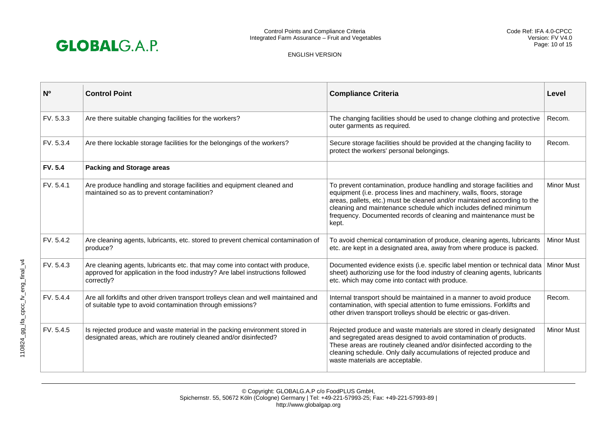

| N <sup>o</sup> | <b>Control Point</b>                                                                                                                                                          | <b>Compliance Criteria</b>                                                                                                                                                                                                                                                                                                                                                 | Level             |
|----------------|-------------------------------------------------------------------------------------------------------------------------------------------------------------------------------|----------------------------------------------------------------------------------------------------------------------------------------------------------------------------------------------------------------------------------------------------------------------------------------------------------------------------------------------------------------------------|-------------------|
| FV. 5.3.3      | Are there suitable changing facilities for the workers?                                                                                                                       | The changing facilities should be used to change clothing and protective<br>outer garments as required.                                                                                                                                                                                                                                                                    | Recom.            |
| FV. 5.3.4      | Are there lockable storage facilities for the belongings of the workers?                                                                                                      | Secure storage facilities should be provided at the changing facility to<br>protect the workers' personal belongings.                                                                                                                                                                                                                                                      | Recom.            |
| <b>FV. 5.4</b> | <b>Packing and Storage areas</b>                                                                                                                                              |                                                                                                                                                                                                                                                                                                                                                                            |                   |
| FV. 5.4.1      | Are produce handling and storage facilities and equipment cleaned and<br>maintained so as to prevent contamination?                                                           | To prevent contamination, produce handling and storage facilities and<br>equipment (i.e. process lines and machinery, walls, floors, storage<br>areas, pallets, etc.) must be cleaned and/or maintained according to the<br>cleaning and maintenance schedule which includes defined minimum<br>frequency. Documented records of cleaning and maintenance must be<br>kept. | <b>Minor Must</b> |
| FV. 5.4.2      | Are cleaning agents, lubricants, etc. stored to prevent chemical contamination of<br>produce?                                                                                 | To avoid chemical contamination of produce, cleaning agents, lubricants<br>etc. are kept in a designated area, away from where produce is packed.                                                                                                                                                                                                                          | <b>Minor Must</b> |
| FV. 5.4.3      | Are cleaning agents, lubricants etc. that may come into contact with produce,<br>approved for application in the food industry? Are label instructions followed<br>correctly? | Documented evidence exists (i.e. specific label mention or technical data<br>sheet) authorizing use for the food industry of cleaning agents, lubricants<br>etc. which may come into contact with produce.                                                                                                                                                                 | <b>Minor Must</b> |
| FV. 5.4.4      | Are all forklifts and other driven transport trolleys clean and well maintained and<br>of suitable type to avoid contamination through emissions?                             | Internal transport should be maintained in a manner to avoid produce<br>contamination, with special attention to fume emissions. Forklifts and<br>other driven transport trolleys should be electric or gas-driven.                                                                                                                                                        | Recom.            |
| FV. 5.4.5      | Is rejected produce and waste material in the packing environment stored in<br>designated areas, which are routinely cleaned and/or disinfected?                              | Rejected produce and waste materials are stored in clearly designated<br>and segregated areas designed to avoid contamination of products.<br>These areas are routinely cleaned and/or disinfected according to the<br>cleaning schedule. Only daily accumulations of rejected produce and<br>waste materials are acceptable.                                              | <b>Minor Must</b> |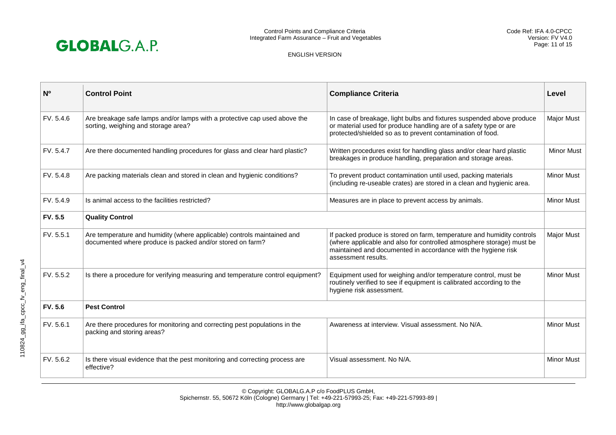

| N <sup>o</sup> | <b>Control Point</b>                                                                                                                 | <b>Compliance Criteria</b>                                                                                                                                                                                                              | Level             |
|----------------|--------------------------------------------------------------------------------------------------------------------------------------|-----------------------------------------------------------------------------------------------------------------------------------------------------------------------------------------------------------------------------------------|-------------------|
| FV. 5.4.6      | Are breakage safe lamps and/or lamps with a protective cap used above the<br>sorting, weighing and storage area?                     | In case of breakage, light bulbs and fixtures suspended above produce<br>or material used for produce handling are of a safety type or are<br>protected/shielded so as to prevent contamination of food.                                | <b>Major Must</b> |
| FV. 5.4.7      | Are there documented handling procedures for glass and clear hard plastic?                                                           | Written procedures exist for handling glass and/or clear hard plastic<br>breakages in produce handling, preparation and storage areas.                                                                                                  | <b>Minor Must</b> |
| FV. 5.4.8      | Are packing materials clean and stored in clean and hygienic conditions?                                                             | To prevent product contamination until used, packing materials<br>(including re-useable crates) are stored in a clean and hygienic area.                                                                                                | <b>Minor Must</b> |
| FV. 5.4.9      | Is animal access to the facilities restricted?                                                                                       | Measures are in place to prevent access by animals.                                                                                                                                                                                     | <b>Minor Must</b> |
| <b>FV. 5.5</b> | <b>Quality Control</b>                                                                                                               |                                                                                                                                                                                                                                         |                   |
| FV. 5.5.1      | Are temperature and humidity (where applicable) controls maintained and<br>documented where produce is packed and/or stored on farm? | If packed produce is stored on farm, temperature and humidity controls<br>(where applicable and also for controlled atmosphere storage) must be<br>maintained and documented in accordance with the hygiene risk<br>assessment results. | <b>Major Must</b> |
| FV. 5.5.2      | Is there a procedure for verifying measuring and temperature control equipment?                                                      | Equipment used for weighing and/or temperature control, must be<br>routinely verified to see if equipment is calibrated according to the<br>hygiene risk assessment.                                                                    | <b>Minor Must</b> |
| <b>FV.5.6</b>  | <b>Pest Control</b>                                                                                                                  |                                                                                                                                                                                                                                         |                   |
| FV. 5.6.1      | Are there procedures for monitoring and correcting pest populations in the<br>packing and storing areas?                             | Awareness at interview. Visual assessment. No N/A.                                                                                                                                                                                      | <b>Minor Must</b> |
| FV. 5.6.2      | Is there visual evidence that the pest monitoring and correcting process are<br>effective?                                           | Visual assessment. No N/A.                                                                                                                                                                                                              | <b>Minor Must</b> |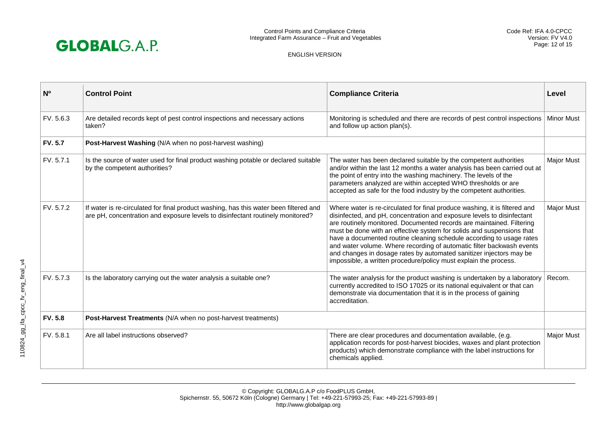

| N <sub>0</sub> | <b>Control Point</b>                                                                                                                                                    | <b>Compliance Criteria</b>                                                                                                                                                                                                                                                                                                                                                                                                                                                                                                                                                                         | Level             |
|----------------|-------------------------------------------------------------------------------------------------------------------------------------------------------------------------|----------------------------------------------------------------------------------------------------------------------------------------------------------------------------------------------------------------------------------------------------------------------------------------------------------------------------------------------------------------------------------------------------------------------------------------------------------------------------------------------------------------------------------------------------------------------------------------------------|-------------------|
| FV. 5.6.3      | Are detailed records kept of pest control inspections and necessary actions<br>taken?                                                                                   | Monitoring is scheduled and there are records of pest control inspections<br>and follow up action plan(s).                                                                                                                                                                                                                                                                                                                                                                                                                                                                                         | <b>Minor Must</b> |
| <b>FV. 5.7</b> | Post-Harvest Washing (N/A when no post-harvest washing)                                                                                                                 |                                                                                                                                                                                                                                                                                                                                                                                                                                                                                                                                                                                                    |                   |
| FV. 5.7.1      | Is the source of water used for final product washing potable or declared suitable<br>by the competent authorities?                                                     | The water has been declared suitable by the competent authorities<br>and/or within the last 12 months a water analysis has been carried out at<br>the point of entry into the washing machinery. The levels of the<br>parameters analyzed are within accepted WHO thresholds or are<br>accepted as safe for the food industry by the competent authorities.                                                                                                                                                                                                                                        | <b>Major Must</b> |
| FV. 5.7.2      | If water is re-circulated for final product washing, has this water been filtered and<br>are pH, concentration and exposure levels to disinfectant routinely monitored? | Where water is re-circulated for final produce washing, it is filtered and<br>disinfected, and pH, concentration and exposure levels to disinfectant<br>are routinely monitored. Documented records are maintained. Filtering<br>must be done with an effective system for solids and suspensions that<br>have a documented routine cleaning schedule according to usage rates<br>and water volume. Where recording of automatic filter backwash events<br>and changes in dosage rates by automated sanitizer injectors may be<br>impossible, a written procedure/policy must explain the process. | Major Must        |
| FV. 5.7.3      | Is the laboratory carrying out the water analysis a suitable one?                                                                                                       | The water analysis for the product washing is undertaken by a laboratory<br>currently accredited to ISO 17025 or its national equivalent or that can<br>demonstrate via documentation that it is in the process of gaining<br>accreditation.                                                                                                                                                                                                                                                                                                                                                       | Recom.            |
| <b>FV. 5.8</b> | Post-Harvest Treatments (N/A when no post-harvest treatments)                                                                                                           |                                                                                                                                                                                                                                                                                                                                                                                                                                                                                                                                                                                                    |                   |
| FV. 5.8.1      | Are all label instructions observed?                                                                                                                                    | There are clear procedures and documentation available, (e.g.<br>application records for post-harvest biocides, waxes and plant protection<br>products) which demonstrate compliance with the label instructions for<br>chemicals applied.                                                                                                                                                                                                                                                                                                                                                         | <b>Major Must</b> |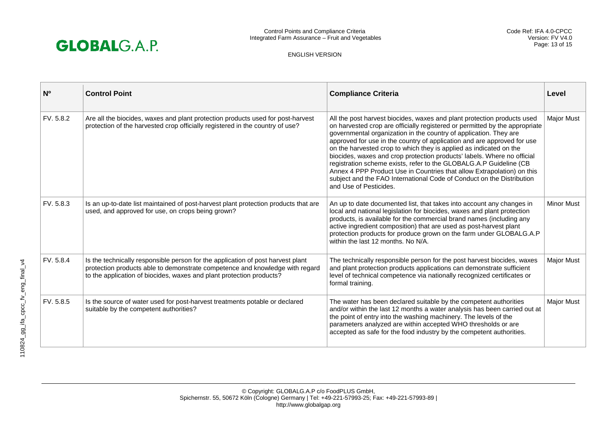

| N <sup>o</sup> | <b>Control Point</b>                                                                                                                                                                                                                    | <b>Compliance Criteria</b>                                                                                                                                                                                                                                                                                                                                                                                                                                                                                                                                                                                                                                                                                 | Level             |
|----------------|-----------------------------------------------------------------------------------------------------------------------------------------------------------------------------------------------------------------------------------------|------------------------------------------------------------------------------------------------------------------------------------------------------------------------------------------------------------------------------------------------------------------------------------------------------------------------------------------------------------------------------------------------------------------------------------------------------------------------------------------------------------------------------------------------------------------------------------------------------------------------------------------------------------------------------------------------------------|-------------------|
| FV. 5.8.2      | Are all the biocides, waxes and plant protection products used for post-harvest<br>protection of the harvested crop officially registered in the country of use?                                                                        | All the post harvest biocides, waxes and plant protection products used<br>on harvested crop are officially registered or permitted by the appropriate<br>governmental organization in the country of application. They are<br>approved for use in the country of application and are approved for use<br>on the harvested crop to which they is applied as indicated on the<br>biocides, waxes and crop protection products' labels. Where no official<br>registration scheme exists, refer to the GLOBALG.A.P Guideline (CB<br>Annex 4 PPP Product Use in Countries that allow Extrapolation) on this<br>subject and the FAO International Code of Conduct on the Distribution<br>and Use of Pesticides. | Major Must        |
| FV. 5.8.3      | Is an up-to-date list maintained of post-harvest plant protection products that are<br>used, and approved for use, on crops being grown?                                                                                                | An up to date documented list, that takes into account any changes in<br>local and national legislation for biocides, waxes and plant protection<br>products, is available for the commercial brand names (including any<br>active ingredient composition) that are used as post-harvest plant<br>protection products for produce grown on the farm under GLOBALG.A.P<br>within the last 12 months. No N/A.                                                                                                                                                                                                                                                                                                | <b>Minor Must</b> |
| FV. 5.8.4      | Is the technically responsible person for the application of post harvest plant<br>protection products able to demonstrate competence and knowledge with regard<br>to the application of biocides, waxes and plant protection products? | The technically responsible person for the post harvest biocides, waxes<br>and plant protection products applications can demonstrate sufficient<br>level of technical competence via nationally recognized certificates or<br>formal training.                                                                                                                                                                                                                                                                                                                                                                                                                                                            | Major Must        |
| FV. 5.8.5      | Is the source of water used for post-harvest treatments potable or declared<br>suitable by the competent authorities?                                                                                                                   | The water has been declared suitable by the competent authorities<br>and/or within the last 12 months a water analysis has been carried out at<br>the point of entry into the washing machinery. The levels of the<br>parameters analyzed are within accepted WHO thresholds or are<br>accepted as safe for the food industry by the competent authorities.                                                                                                                                                                                                                                                                                                                                                | <b>Major Must</b> |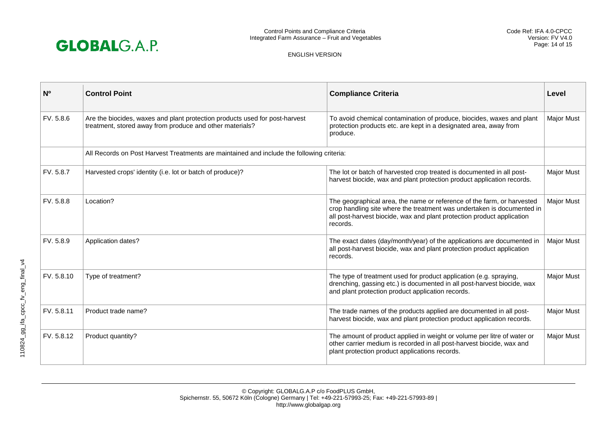

| N <sub>0</sub> | <b>Control Point</b>                                                                                                                    | <b>Compliance Criteria</b>                                                                                                                                                                                                             | Level             |
|----------------|-----------------------------------------------------------------------------------------------------------------------------------------|----------------------------------------------------------------------------------------------------------------------------------------------------------------------------------------------------------------------------------------|-------------------|
| FV. 5.8.6      | Are the biocides, waxes and plant protection products used for post-harvest<br>treatment, stored away from produce and other materials? | To avoid chemical contamination of produce, biocides, waxes and plant<br>protection products etc. are kept in a designated area, away from<br>produce.                                                                                 | Major Must        |
|                | All Records on Post Harvest Treatments are maintained and include the following criteria:                                               |                                                                                                                                                                                                                                        |                   |
| FV. 5.8.7      | Harvested crops' identity (i.e. lot or batch of produce)?                                                                               | The lot or batch of harvested crop treated is documented in all post-<br>harvest biocide, wax and plant protection product application records.                                                                                        | <b>Major Must</b> |
| FV. 5.8.8      | Location?                                                                                                                               | The geographical area, the name or reference of the farm, or harvested<br>crop handling site where the treatment was undertaken is documented in<br>all post-harvest biocide, wax and plant protection product application<br>records. | Major Must        |
| FV. 5.8.9      | Application dates?                                                                                                                      | The exact dates (day/month/year) of the applications are documented in<br>all post-harvest biocide, wax and plant protection product application<br>records.                                                                           | Major Must        |
| FV. 5.8.10     | Type of treatment?                                                                                                                      | The type of treatment used for product application (e.g. spraying,<br>drenching, gassing etc.) is documented in all post-harvest biocide, wax<br>and plant protection product application records.                                     | Major Must        |
| FV. 5.8.11     | Product trade name?                                                                                                                     | The trade names of the products applied are documented in all post-<br>harvest biocide, wax and plant protection product application records.                                                                                          | <b>Major Must</b> |
| FV. 5.8.12     | Product quantity?                                                                                                                       | The amount of product applied in weight or volume per litre of water or<br>other carrier medium is recorded in all post-harvest biocide, wax and<br>plant protection product applications records.                                     | Major Must        |